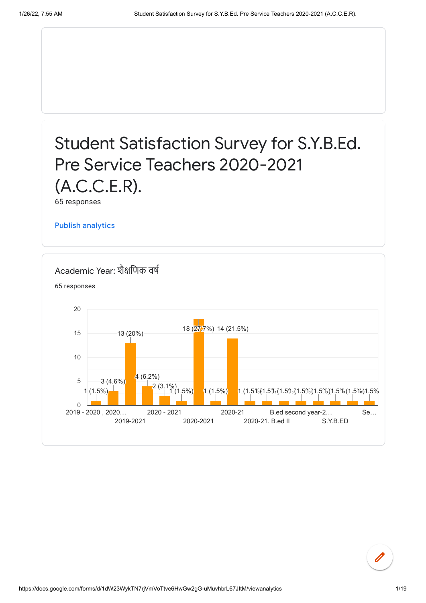# Student Satisfaction Survey for S.Y.B.Ed. Pre Service Teachers 2020-2021 (A.C.C.E.R).

65 responses

Publish [analytics](https://docs.google.com/forms/d/1dW23WykTN7rjVmVoTtve6HwGw2gG-uMuvhbrL67JItM/edit?usp=redirect_edit_m2#start=publishanalytics)

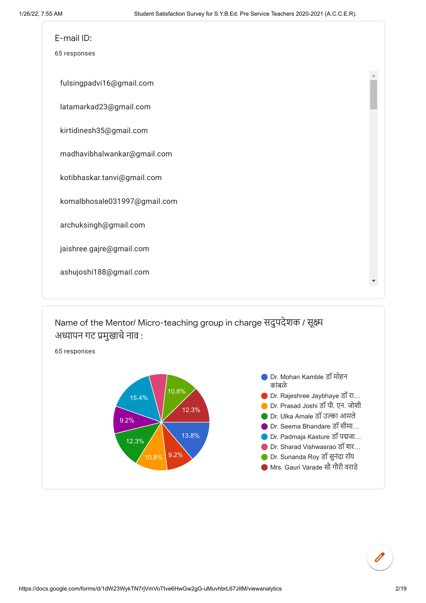

Name of the Mentor/ Micro-teaching group in charge सदुपदेशक / सूक्ष्म अध्यापन गट प्रमुखाचे नाव :

65 responses

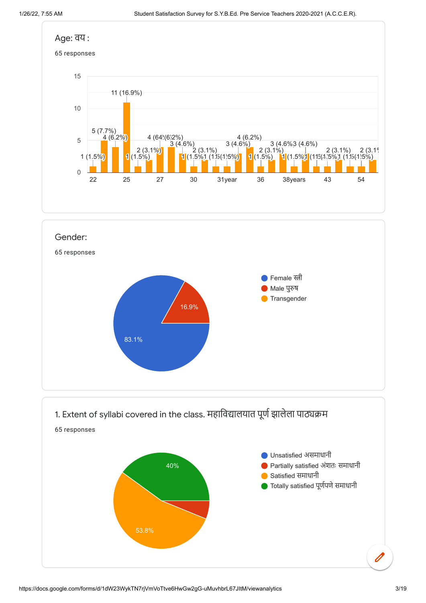**Transgender** 



1. Extent of syllabi covered in the class. महाविद्यालयात पूर्ण झालेला पाठ्यक्रम

16.9%

83.1%

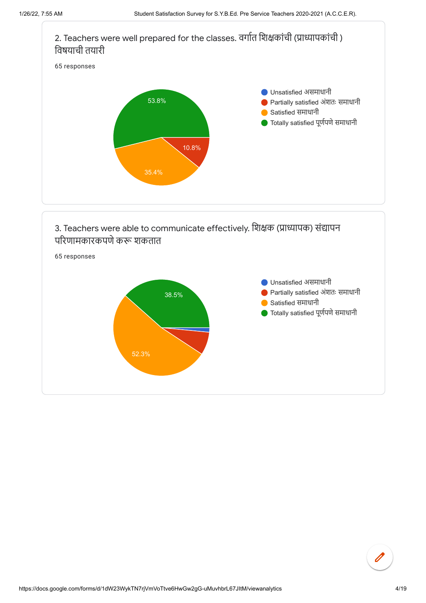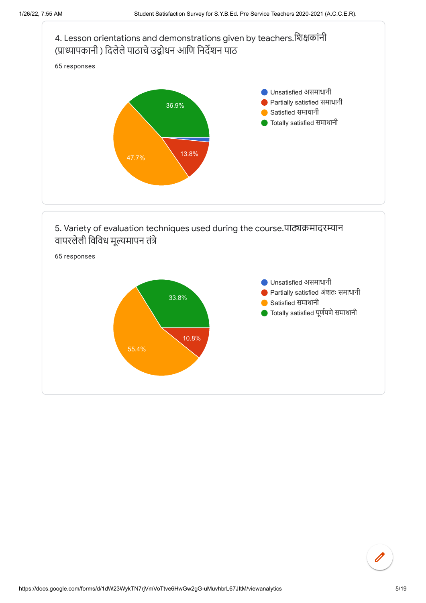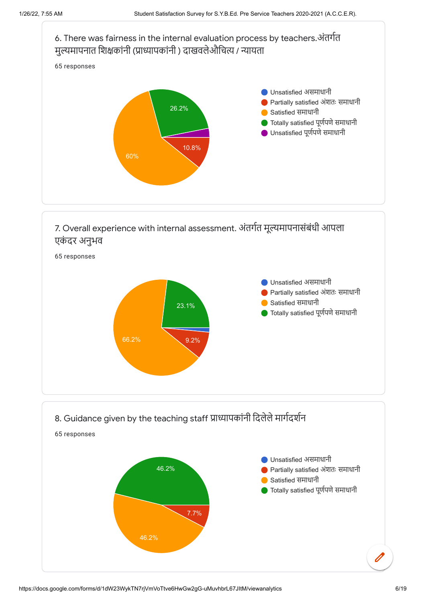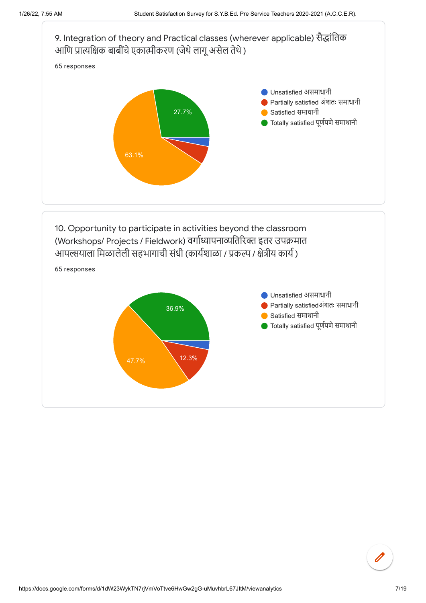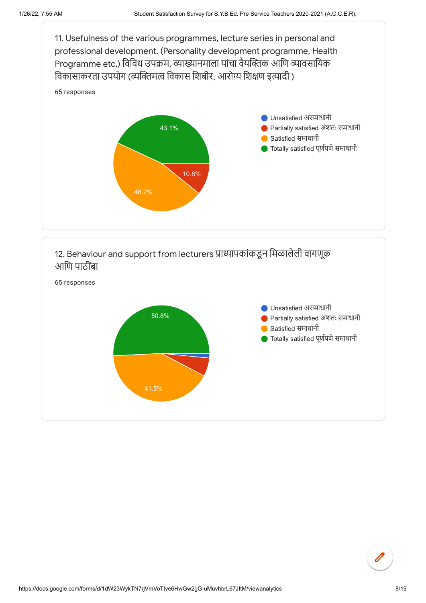

## 12. Behaviour and support from lecturers प्राध्यापकांकडून मिळालेली वागणूक आणि पाठींबा

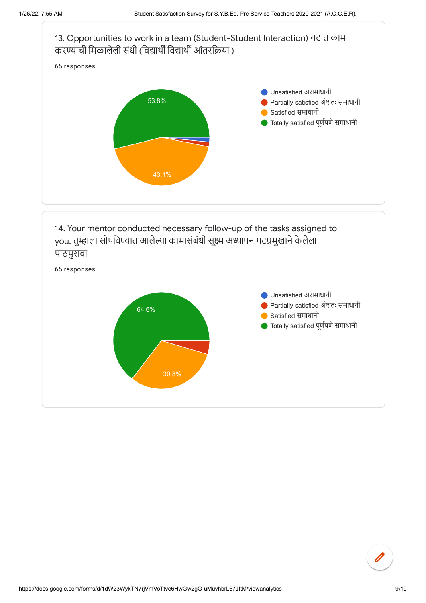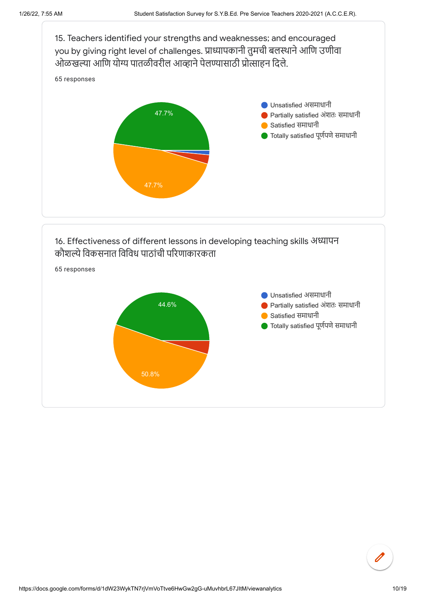

#### 16. Effectiveness of different lessons in developing teaching skills अध्यापन कौशल्ये विकसनात विविध पाठांची परिणाकारकता

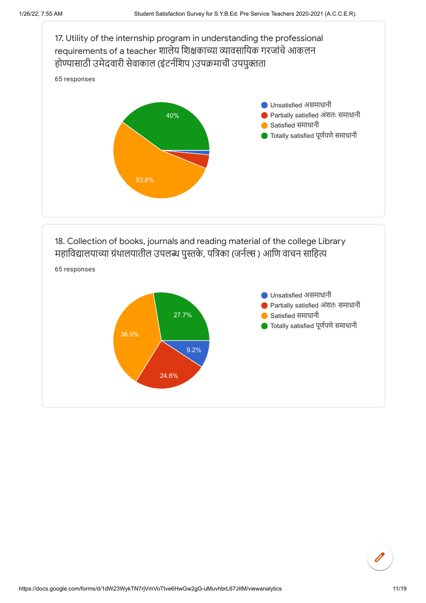

### 18. Collection of books, journals and reading material of the college Library महाविद्यालयाच्या ग्रंथालयातील उपलब्ध पुस्तके, पत्रिका (जर्नल्स ) आणि वाचन साहित्य



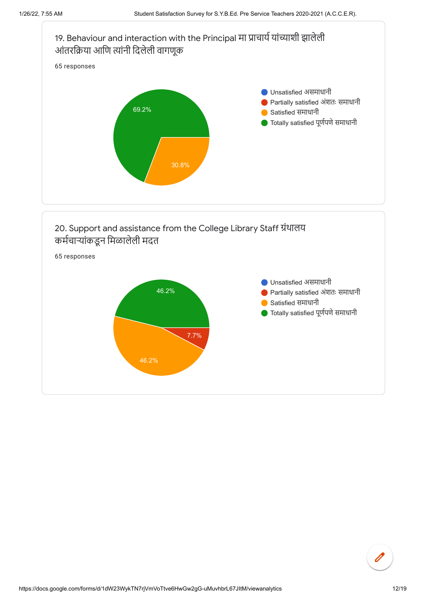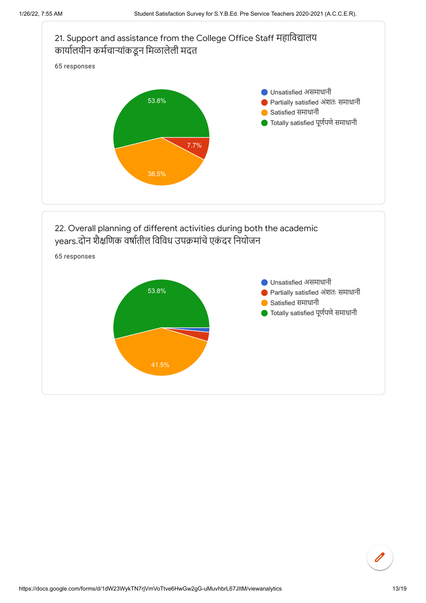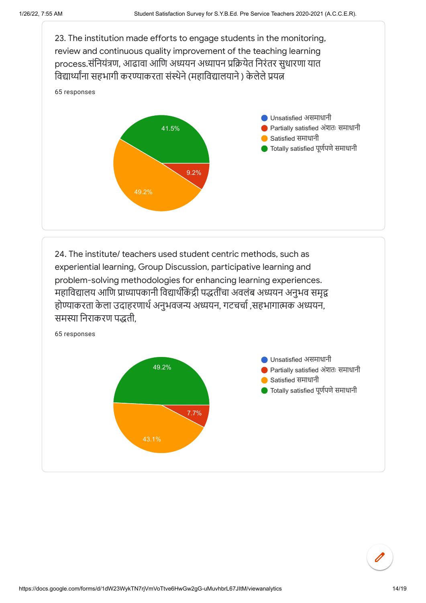

24. The institute/ teachers used student centric methods, such as experiential learning, Group Discussion, participative learning and problem-solving methodologies for enhancing learning experiences. महाविद्यालय आणि प्राध्यापकानी विद्यार्थीकेंद्री पद्धतींचा तीं अवलंब अध्ययन अनुभव समृद्व होण्याकरता केला उदा हरणार्थ अनुभवजन्य अध्ययन, गटचर्चा ,सहभागात्मक अध्ययन, समस्या निराकरण पद्धती,

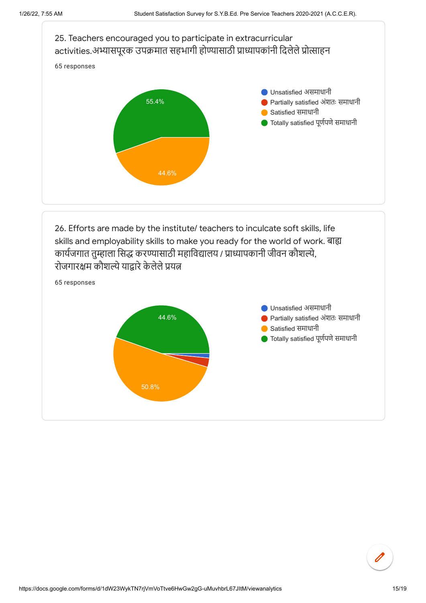

रोजगारक्षम कौशल्ये याद्वारे केलेले प्रयत्न



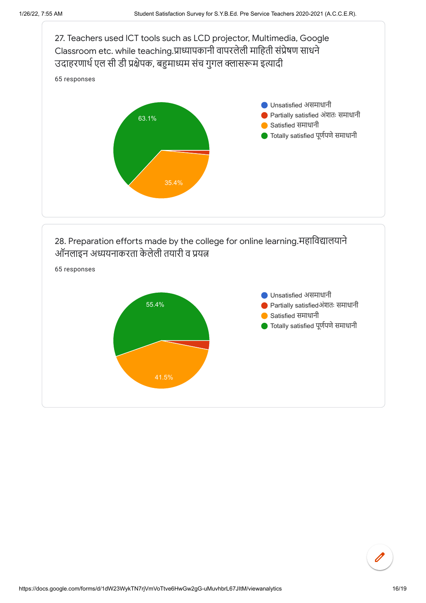



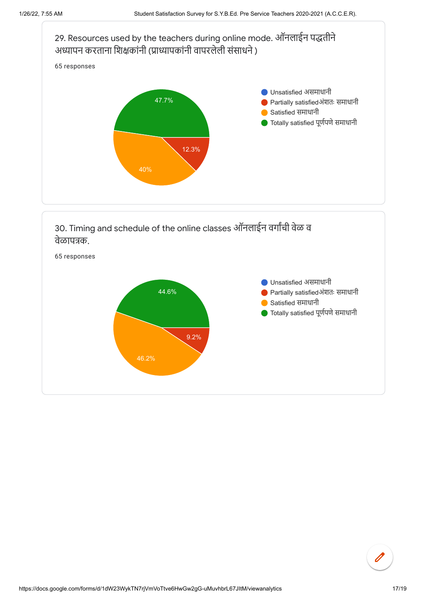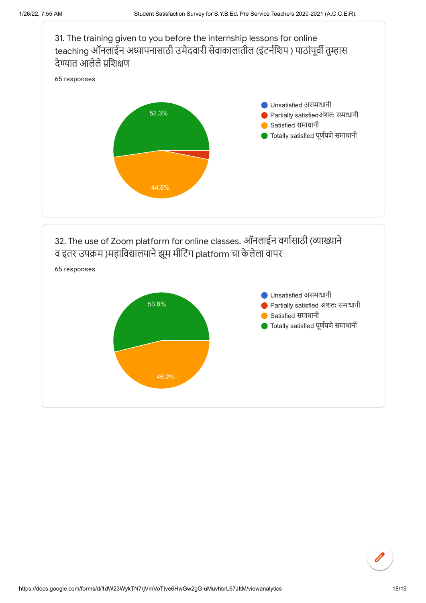